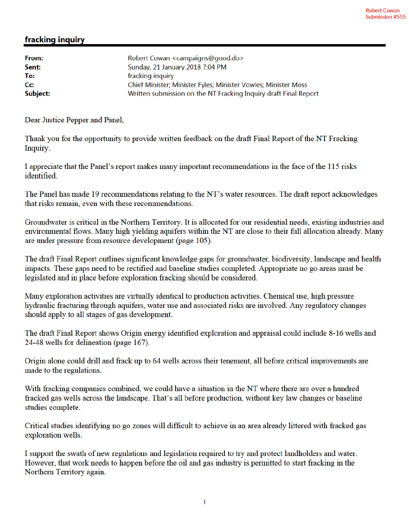## fracking inquiry

| From:    | Robert Cowan <campaigns@good.do></campaigns@good.do>             |
|----------|------------------------------------------------------------------|
|          |                                                                  |
| Sent:    | Sunday, 21 January 2018 7:04 PM                                  |
| To:      | fracking inquiry                                                 |
| Cc:      | Chief Minister; Minister Fyles; Minister Vowles; Minister Moss   |
| Subject: | Written submission on the NT Fracking Inquiry draft Final Report |

Dear Justice Pepper and Panel,

Thank you for the opportunity to provide written feedback on the draft Final Report of the NT Fracking Inquiry.

I appreciate that the Panel's report makes many important recommendations in the face of the 115 risks identified

The Panel has made 19 recommendations relating to the NT's water resources. The draft report acknowledges that risks remain, even with these recommendations.

Groundwater is critical in the Northern Territory. It is allocated for our residential needs, existing industries and environmental flows. Many high yielding aquifers within the NT are close to their full allocation already. Many are under pressure from resource development (page 105).

The draft Final Report outlines significant knowledge gaps for groundwater, biodiversity, landscape and health impacts. These gaps need to be rectified and baseline studies completed. Appropriate no go areas must be legislated and in place before exploration fracking should be considered.

Many exploration activities are virtually identical to production activities. Chemical use, high pressure hydraulic fracturing through aquifers, water use and associated risks are involved. Any regulatory changes should apply to all stages of gas development.

The draft Final Report shows Origin energy identified exploration and appraisal could include 8-16 wells and 24-48 wells for delineation (page 167).

Origin alone could drill and frack up to 64 wells across their tenement, all before critical improvements are made to the regulations.

With fracking companies combined, we could have a situation in the NT where there are over a hundred fracked gas wells across the landscape. That's all before production, without key law changes or baseline studies complete.

Critical studies identifying no go zones will difficult to achieve in an area already littered with fracked gas exploration wells.

I support the swath of new regulations and legislation required to try and protect landholders and water. However, that work needs to happen before the oil and gas industry is permitted to start fracking in the Northern Territory again.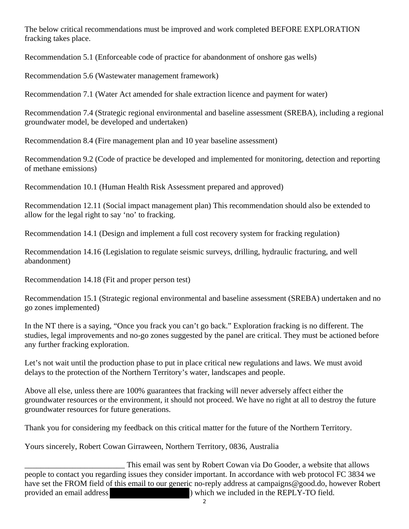The below critical recommendations must be improved and work completed BEFORE EXPLORATION fracking takes place.

Recommendation 5.1 (Enforceable code of practice for abandonment of onshore gas wells)

Recommendation 5.6 (Wastewater management framework)

Recommendation 7.1 (Water Act amended for shale extraction licence and payment for water)

Recommendation 7.4 (Strategic regional environmental and baseline assessment (SREBA), including a regional groundwater model, be developed and undertaken)

Recommendation 8.4 (Fire management plan and 10 year baseline assessment)

Recommendation 9.2 (Code of practice be developed and implemented for monitoring, detection and reporting of methane emissions)

Recommendation 10.1 (Human Health Risk Assessment prepared and approved)

Recommendation 12.11 (Social impact management plan) This recommendation should also be extended to allow for the legal right to say 'no' to fracking.

Recommendation 14.1 (Design and implement a full cost recovery system for fracking regulation)

Recommendation 14.16 (Legislation to regulate seismic surveys, drilling, hydraulic fracturing, and well abandonment)

Recommendation 14.18 (Fit and proper person test)

Recommendation 15.1 (Strategic regional environmental and baseline assessment (SREBA) undertaken and no go zones implemented)

In the NT there is a saying, "Once you frack you can't go back." Exploration fracking is no different. The studies, legal improvements and no-go zones suggested by the panel are critical. They must be actioned before any further fracking exploration.

Let's not wait until the production phase to put in place critical new regulations and laws. We must avoid delays to the protection of the Northern Territory's water, landscapes and people.

Above all else, unless there are 100% guarantees that fracking will never adversely affect either the groundwater resources or the environment, it should not proceed. We have no right at all to destroy the future groundwater resources for future generations.

Thank you for considering my feedback on this critical matter for the future of the Northern Territory.

Yours sincerely, Robert Cowan Girraween, Northern Territory, 0836, Australia

This email was sent by Robert Cowan via Do Gooder, a website that allows people to contact you regarding issues they consider important. In accordance with web protocol FC 3834 we have set the FROM field of this email to our generic no-reply address at campaigns@good.do, however Robert provided an email address ) which we included in the REPLY-TO field.